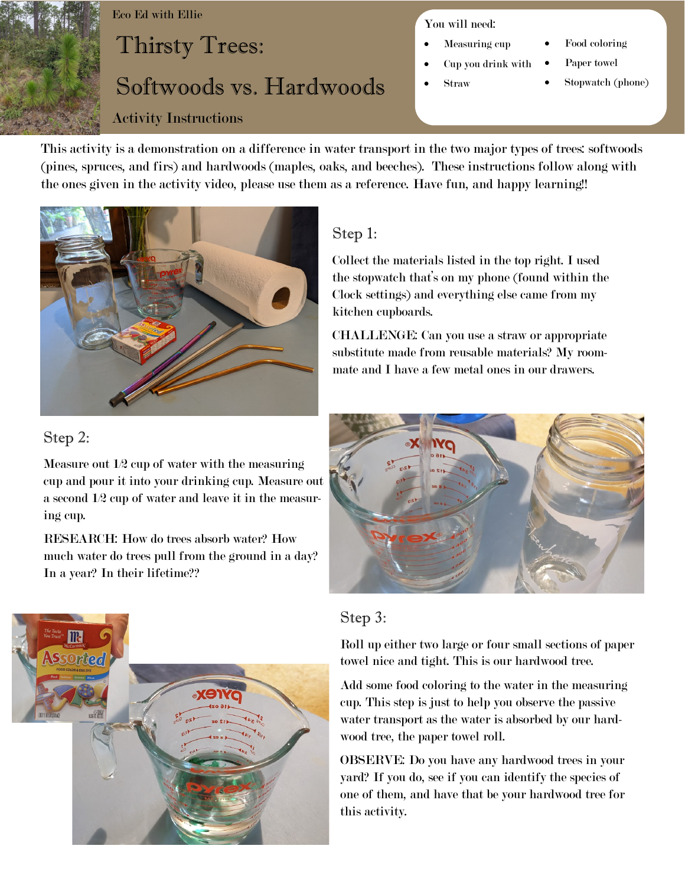

#### Eco Ed with Ellie

# Thirsty Trees: Softwoods vs. Hardwoods

#### Activity Instructions

#### You will need:

- Measuring cup
- Cup you drink with
- Straw
- Food coloring
- Paper towel
- Stopwatch (phone)

This activity is a demonstration on a difference in water transport in the two major types of trees: softwoods (pines, spruces, and firs) and hardwoods (maples, oaks, and beeches). These instructions follow along with the ones given in the activity video, please use them as a reference. Have fun, and happy learning!!



# Step 2:

Measure out 1/2 cup of water with the measuring cup and pour it into your drinking cup. Measure out a second 1/2 cup of water and leave it in the measuring cup.

RESEARCH: How do trees absorb water? How much water do trees pull from the ground in a day? In a year? In their lifetime??



## Step 1:

Collect the materials listed in the top right. I used the stopwatch that's on my phone (found within the Clock settings) and everything else came from my kitchen cupboards.

CHALLENGE: Can you use a straw or appropriate substitute made from reusable materials? My roommate and I have a few metal ones in our drawers.



#### Step 3:

Roll up either two large or four small sections of paper towel nice and tight. This is our hardwood tree.

Add some food coloring to the water in the measuring cup. This step is just to help you observe the passive water transport as the water is absorbed by our hardwood tree, the paper towel roll.

OBSERVE: Do you have any hardwood trees in your yard? If you do, see if you can identify the species of one of them, and have that be your hardwood tree for this activity.